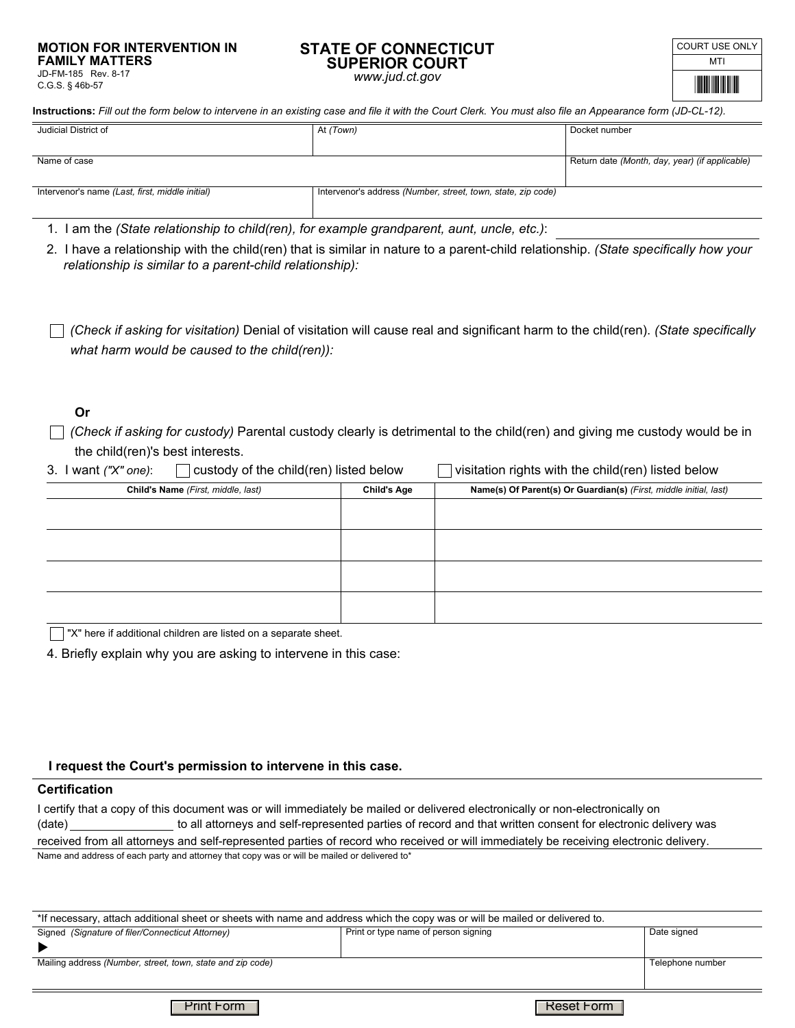#### **MOTION FOR INTERVENTION IN FAMILY MATTERS**  JD-FM-185 Rev. 8-17

C.G.S. § 46b-57

#### **STATE OF CONNECTICUT SUPERIOR COURT**  *www.jud.ct.gov*

| COURT USE ONLY |
|----------------|
| MTI            |
|                |

**Instructions:** *Fill out the form below to intervene in an existing case and file it with the Court Clerk. You must also file an Appearance form (JD-CL-12).*

| Judicial District of                            | At (Town)                                                    | Docket number                                  |
|-------------------------------------------------|--------------------------------------------------------------|------------------------------------------------|
|                                                 |                                                              |                                                |
|                                                 |                                                              |                                                |
|                                                 |                                                              |                                                |
| Name of case                                    |                                                              | Return date (Month, day, year) (if applicable) |
|                                                 |                                                              |                                                |
|                                                 |                                                              |                                                |
| Intervenor's name (Last, first, middle initial) | Intervenor's address (Number, street, town, state, zip code) |                                                |
|                                                 |                                                              |                                                |
|                                                 |                                                              |                                                |

1. I am the *(State relationship to child(ren), for example grandparent, aunt, uncle, etc.)*:

2. I have a relationship with the child(ren) that is similar in nature to a parent-child relationship. *(State specifically how your relationship is similar to a parent-child relationship):*

*what harm would be caused to the child(ren)): (Check if asking for visitation)* Denial of visitation will cause real and significant harm to the child(ren). *(State specifically*

## **Or**

*(Check if asking for custody)* Parental custody clearly is detrimental to the child(ren) and giving me custody would be in the child(ren)'s best interests.

| $\Box$ custody of the child(ren) listed be<br>3. I want $('X''$ one): |  |
|-----------------------------------------------------------------------|--|
|-----------------------------------------------------------------------|--|

 $\log$  of the child(ren) listed below

| Child's Name (First, middle, last) | <b>Child's Age</b> | Name(s) Of Parent(s) Or Guardian(s) (First, middle initial, last) |  |
|------------------------------------|--------------------|-------------------------------------------------------------------|--|
|                                    |                    |                                                                   |  |
|                                    |                    |                                                                   |  |
|                                    |                    |                                                                   |  |
|                                    |                    |                                                                   |  |
|                                    |                    |                                                                   |  |
|                                    |                    |                                                                   |  |
|                                    |                    |                                                                   |  |
|                                    |                    |                                                                   |  |

 $\overline{\phantom{a}}$  "X" here if additional children are listed on a separate sheet.

4. Briefly explain why you are asking to intervene in this case:

### **I request the Court's permission to intervene in this case.**

### **Certification**

(date) to all attorneys and self-represented parties of record and that written consent for electronic delivery was received from all attorneys and self-represented parties of record who received or will immediately be receiving electronic delivery. I certify that a copy of this document was or will immediately be mailed or delivered electronically or non-electronically on Name and address of each party and attorney that copy was or will be mailed or delivered to\*

| *If necessary, attach additional sheet or sheets with name and address which the copy was or will be mailed or delivered to. |                                      |             |  |  |
|------------------------------------------------------------------------------------------------------------------------------|--------------------------------------|-------------|--|--|
| Signed (Signature of filer/Connecticut Attorney)                                                                             | Print or type name of person signing | Date signed |  |  |
|                                                                                                                              |                                      |             |  |  |
| Mailing address (Number, street, town, state and zip code)                                                                   | Telephone number                     |             |  |  |
|                                                                                                                              |                                      |             |  |  |